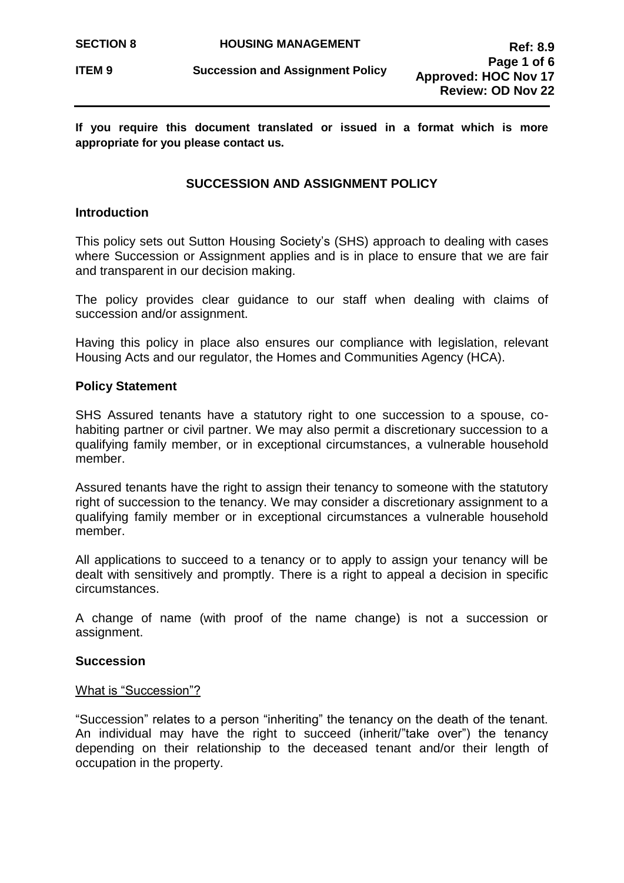**If you require this document translated or issued in a format which is more appropriate for you please contact us.**

## **SUCCESSION AND ASSIGNMENT POLICY**

### **Introduction**

This policy sets out Sutton Housing Society's (SHS) approach to dealing with cases where Succession or Assignment applies and is in place to ensure that we are fair and transparent in our decision making.

The policy provides clear guidance to our staff when dealing with claims of succession and/or assignment.

Having this policy in place also ensures our compliance with legislation, relevant Housing Acts and our regulator, the Homes and Communities Agency (HCA).

### **Policy Statement**

SHS Assured tenants have a statutory right to one succession to a spouse, cohabiting partner or civil partner. We may also permit a discretionary succession to a qualifying family member, or in exceptional circumstances, a vulnerable household member.

Assured tenants have the right to assign their tenancy to someone with the statutory right of succession to the tenancy. We may consider a discretionary assignment to a qualifying family member or in exceptional circumstances a vulnerable household member.

All applications to succeed to a tenancy or to apply to assign your tenancy will be dealt with sensitively and promptly. There is a right to appeal a decision in specific circumstances.

A change of name (with proof of the name change) is not a succession or assignment.

### **Succession**

#### What is "Succession"?

"Succession" relates to a person "inheriting" the tenancy on the death of the tenant. An individual may have the right to succeed (inherit/"take over") the tenancy depending on their relationship to the deceased tenant and/or their length of occupation in the property.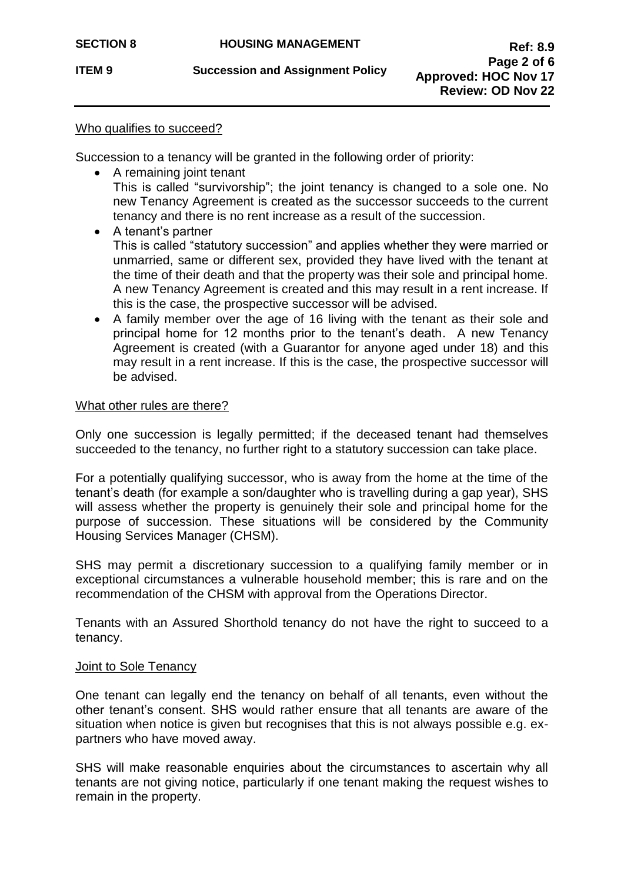**ITEM 9 Succession and Assignment Policy** 

## Who qualifies to succeed?

Succession to a tenancy will be granted in the following order of priority:

• A remaining joint tenant

This is called "survivorship"; the joint tenancy is changed to a sole one. No new Tenancy Agreement is created as the successor succeeds to the current tenancy and there is no rent increase as a result of the succession.

- A tenant's partner This is called "statutory succession" and applies whether they were married or unmarried, same or different sex, provided they have lived with the tenant at the time of their death and that the property was their sole and principal home. A new Tenancy Agreement is created and this may result in a rent increase. If this is the case, the prospective successor will be advised.
- A family member over the age of 16 living with the tenant as their sole and principal home for 12 months prior to the tenant's death. A new Tenancy Agreement is created (with a Guarantor for anyone aged under 18) and this may result in a rent increase. If this is the case, the prospective successor will be advised.

### What other rules are there?

Only one succession is legally permitted; if the deceased tenant had themselves succeeded to the tenancy, no further right to a statutory succession can take place.

For a potentially qualifying successor, who is away from the home at the time of the tenant's death (for example a son/daughter who is travelling during a gap year), SHS will assess whether the property is genuinely their sole and principal home for the purpose of succession. These situations will be considered by the Community Housing Services Manager (CHSM).

SHS may permit a discretionary succession to a qualifying family member or in exceptional circumstances a vulnerable household member; this is rare and on the recommendation of the CHSM with approval from the Operations Director.

Tenants with an Assured Shorthold tenancy do not have the right to succeed to a tenancy.

## **Joint to Sole Tenancy**

One tenant can legally end the tenancy on behalf of all tenants, even without the other tenant's consent. SHS would rather ensure that all tenants are aware of the situation when notice is given but recognises that this is not always possible e.g. expartners who have moved away.

SHS will make reasonable enquiries about the circumstances to ascertain why all tenants are not giving notice, particularly if one tenant making the request wishes to remain in the property.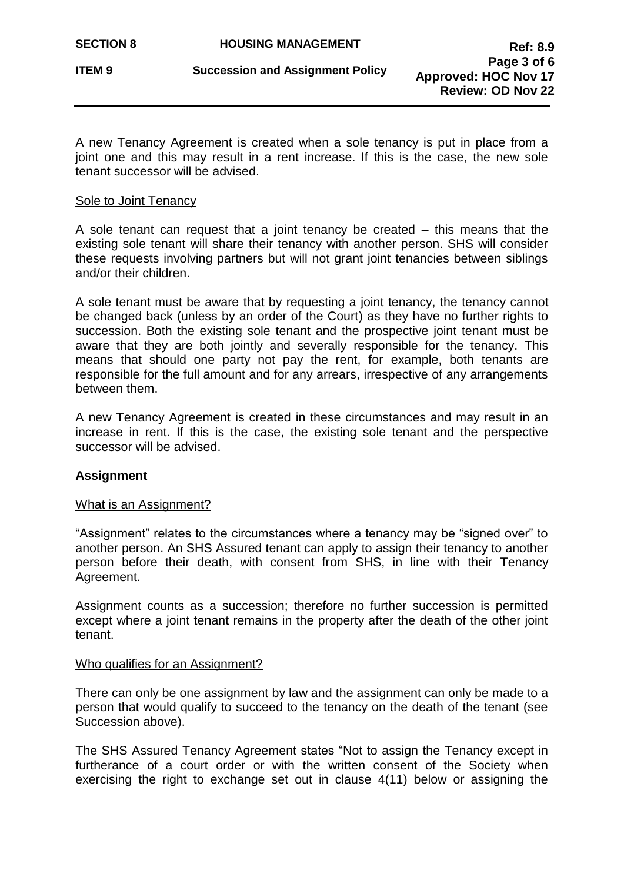A new Tenancy Agreement is created when a sole tenancy is put in place from a joint one and this may result in a rent increase. If this is the case, the new sole tenant successor will be advised.

### Sole to Joint Tenancy

A sole tenant can request that a joint tenancy be created – this means that the existing sole tenant will share their tenancy with another person. SHS will consider these requests involving partners but will not grant joint tenancies between siblings and/or their children.

A sole tenant must be aware that by requesting a joint tenancy, the tenancy cannot be changed back (unless by an order of the Court) as they have no further rights to succession. Both the existing sole tenant and the prospective joint tenant must be aware that they are both jointly and severally responsible for the tenancy. This means that should one party not pay the rent, for example, both tenants are responsible for the full amount and for any arrears, irrespective of any arrangements between them.

A new Tenancy Agreement is created in these circumstances and may result in an increase in rent. If this is the case, the existing sole tenant and the perspective successor will be advised.

## **Assignment**

### What is an Assignment?

"Assignment" relates to the circumstances where a tenancy may be "signed over" to another person. An SHS Assured tenant can apply to assign their tenancy to another person before their death, with consent from SHS, in line with their Tenancy Agreement.

Assignment counts as a succession; therefore no further succession is permitted except where a joint tenant remains in the property after the death of the other joint tenant.

### Who qualifies for an Assignment?

There can only be one assignment by law and the assignment can only be made to a person that would qualify to succeed to the tenancy on the death of the tenant (see Succession above).

The SHS Assured Tenancy Agreement states "Not to assign the Tenancy except in furtherance of a court order or with the written consent of the Society when exercising the right to exchange set out in clause 4(11) below or assigning the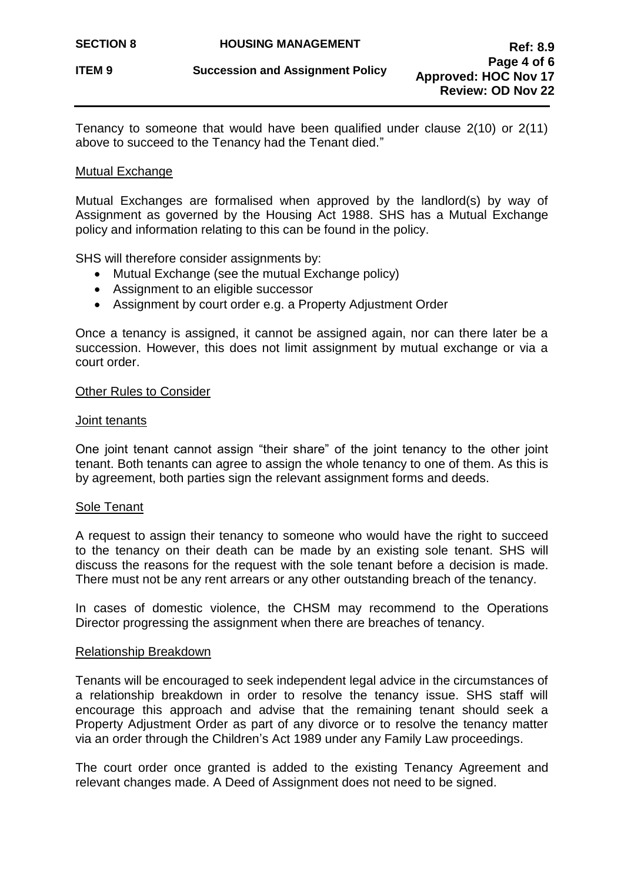Tenancy to someone that would have been qualified under clause 2(10) or 2(11) above to succeed to the Tenancy had the Tenant died."

#### Mutual Exchange

Mutual Exchanges are formalised when approved by the landlord(s) by way of Assignment as governed by the Housing Act 1988. SHS has a Mutual Exchange policy and information relating to this can be found in the policy.

SHS will therefore consider assignments by:

- Mutual Exchange (see the mutual Exchange policy)
- Assignment to an eligible successor
- Assignment by court order e.g. a Property Adjustment Order

Once a tenancy is assigned, it cannot be assigned again, nor can there later be a succession. However, this does not limit assignment by mutual exchange or via a court order.

#### Other Rules to Consider

#### Joint tenants

One joint tenant cannot assign "their share" of the joint tenancy to the other joint tenant. Both tenants can agree to assign the whole tenancy to one of them. As this is by agreement, both parties sign the relevant assignment forms and deeds.

#### Sole Tenant

A request to assign their tenancy to someone who would have the right to succeed to the tenancy on their death can be made by an existing sole tenant. SHS will discuss the reasons for the request with the sole tenant before a decision is made. There must not be any rent arrears or any other outstanding breach of the tenancy.

In cases of domestic violence, the CHSM may recommend to the Operations Director progressing the assignment when there are breaches of tenancy.

#### Relationship Breakdown

Tenants will be encouraged to seek independent legal advice in the circumstances of a relationship breakdown in order to resolve the tenancy issue. SHS staff will encourage this approach and advise that the remaining tenant should seek a Property Adjustment Order as part of any divorce or to resolve the tenancy matter via an order through the Children's Act 1989 under any Family Law proceedings.

The court order once granted is added to the existing Tenancy Agreement and relevant changes made. A Deed of Assignment does not need to be signed.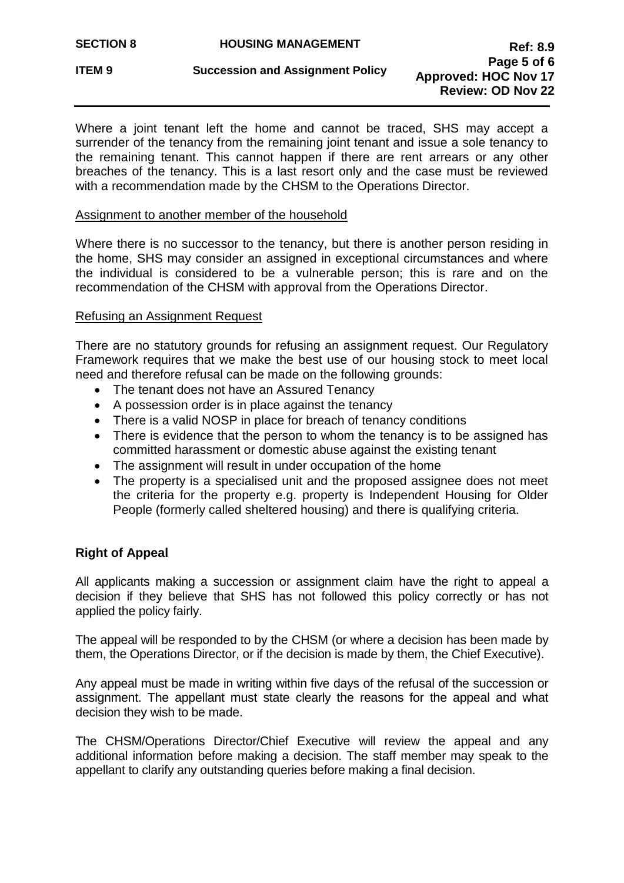Where a joint tenant left the home and cannot be traced, SHS may accept a surrender of the tenancy from the remaining joint tenant and issue a sole tenancy to the remaining tenant. This cannot happen if there are rent arrears or any other breaches of the tenancy. This is a last resort only and the case must be reviewed with a recommendation made by the CHSM to the Operations Director.

## Assignment to another member of the household

Where there is no successor to the tenancy, but there is another person residing in the home, SHS may consider an assigned in exceptional circumstances and where the individual is considered to be a vulnerable person; this is rare and on the recommendation of the CHSM with approval from the Operations Director.

## Refusing an Assignment Request

There are no statutory grounds for refusing an assignment request. Our Regulatory Framework requires that we make the best use of our housing stock to meet local need and therefore refusal can be made on the following grounds:

- The tenant does not have an Assured Tenancy
- A possession order is in place against the tenancy
- There is a valid NOSP in place for breach of tenancy conditions
- There is evidence that the person to whom the tenancy is to be assigned has committed harassment or domestic abuse against the existing tenant
- The assignment will result in under occupation of the home
- The property is a specialised unit and the proposed assignee does not meet the criteria for the property e.g. property is Independent Housing for Older People (formerly called sheltered housing) and there is qualifying criteria.

## **Right of Appeal**

All applicants making a succession or assignment claim have the right to appeal a decision if they believe that SHS has not followed this policy correctly or has not applied the policy fairly.

The appeal will be responded to by the CHSM (or where a decision has been made by them, the Operations Director, or if the decision is made by them, the Chief Executive).

Any appeal must be made in writing within five days of the refusal of the succession or assignment. The appellant must state clearly the reasons for the appeal and what decision they wish to be made.

The CHSM/Operations Director/Chief Executive will review the appeal and any additional information before making a decision. The staff member may speak to the appellant to clarify any outstanding queries before making a final decision.